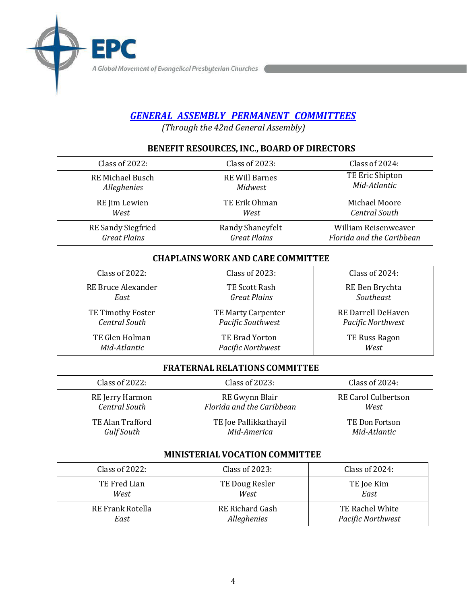A Global Movement of Evangelical Presbyterian Churches

EPC

# *GENERAL ASSEMBLY PERMANENT COMMITTEES*

*(Through the 42nd General Assembly)*

## **BENEFIT RESOURCES, INC., BOARD OF DIRECTORS**

| Class of 2022:            | Class of $2023$ :     | Class of 2024:            |
|---------------------------|-----------------------|---------------------------|
| RE Michael Busch          | <b>RE Will Barnes</b> | TE Eric Shipton           |
| Alleghenies               | Midwest               | Mid-Atlantic              |
| RE Jim Lewien             | TE Erik Ohman         | Michael Moore             |
| West                      | West                  | <b>Central South</b>      |
| <b>RE Sandy Siegfried</b> | Randy Shaneyfelt      | William Reisenweaver      |
| <b>Great Plains</b>       | <b>Great Plains</b>   | Florida and the Caribbean |

#### **CHAPLAINS WORK AND CARE COMMITTEE**

| Class of 2022:            | Class of 2023:      | Class of 2024:     |
|---------------------------|---------------------|--------------------|
| <b>RE Bruce Alexander</b> | TE Scott Rash       | RE Ben Brychta     |
| East                      | <b>Great Plains</b> | Southeast          |
| TE Timothy Foster         | TE Marty Carpenter  | RE Darrell DeHaven |
| Central South             | Pacific Southwest   | Pacific Northwest  |
| TE Glen Holman            | TE Brad Yorton      | TE Russ Ragon      |
| Mid-Atlantic              | Pacific Northwest   | West               |

#### **FRATERNAL RELATIONS COMMITTEE**

| Class of $2022$ :                       | Class of $2023$ :                           | Class of $2024$ :                  |
|-----------------------------------------|---------------------------------------------|------------------------------------|
| RE Jerry Harmon<br><b>Central South</b> | RE Stan van den Berg<br><b>Great Plains</b> | <b>RE Carol Culbertson</b><br>West |
| TE Alan Trafford<br><b>Gulf South</b>   |                                             | TE Don Fortson<br>Mid-Atlantic     |

#### **MINISTERIAL VOCATION COMMITTEE**

| Class of $2022$ : | Class of $2023$ :      | Class of 2024:    |
|-------------------|------------------------|-------------------|
| TE Fred Lian      | TE Doug Resler         | TE Joe Kim        |
| West              | West                   | East              |
| RE Frank Rotella  | <b>RE Richard Gash</b> | TE Rachel White   |
| East              | Alleghenies            | Pacific Northwest |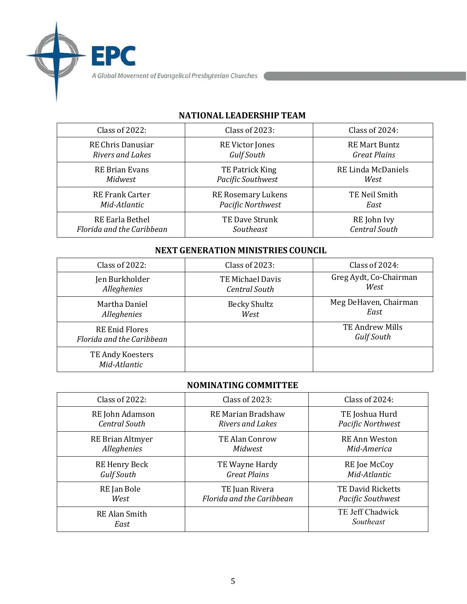A Global Movement of Evangelical Presbyterian Churches

**EPC** 

## **NATIONAL LEADERSHIP TEAM**

| Class of 2022:            | Class of $2023$ :         | Class of $2024$ :    |
|---------------------------|---------------------------|----------------------|
| RE Chris Danusiar         | <b>RE Victor Jones</b>    | <b>RE Mart Buntz</b> |
| Rivers and Lakes          | <b>Gulf South</b>         | <b>Great Plains</b>  |
| <b>RE Brian Evans</b>     | TE Patrick King           | RE Linda McDaniels   |
| Midwest                   | Pacific Southwest         | West                 |
| <b>RE Frank Carter</b>    | <b>RE Rosemary Lukens</b> | TE Neil Smith        |
| Mid-Atlantic              | Pacific Northwest         | East                 |
| RE Earla Bethel           | TE Dave Strunk            | RE John Ivy          |
| Florida and the Caribbean | Southeast                 | <b>Central South</b> |

## **NEXT GENERATION MINISTRIES COUNCIL**

| Class of 2022:                                     | Class of 2023:                           | Class of 2024:                       |
|----------------------------------------------------|------------------------------------------|--------------------------------------|
| Jen Burkholder<br>Alleghenies                      | TE Michael Davis<br><b>Central South</b> | Greg Aydt, Co-Chairman<br>West       |
| Martha Daniel<br>Alleghenies                       | <b>Becky Shultz</b><br>West              | Meg DeHaven, Chairman<br>East        |
| <b>RE Enid Flores</b><br>Florida and the Caribbean |                                          | TE Andrew Mills<br><b>Gulf South</b> |
| TE Andy Koesters<br>Mid-Atlantic                   |                                          |                                      |

#### **NOMINATING COMMITTEE**

| Class of $2022$ :            | Class of $2023$ :         | Class of $2024$ :             |
|------------------------------|---------------------------|-------------------------------|
| RE John Adamson              | <b>RE Marian Bradshaw</b> | TE Joshua Hurd                |
| <b>Central South</b>         | Rivers and Lakes          | Pacific Northwest             |
| <b>RE Brian Altmyer</b>      | <b>TE Alan Conrow</b>     | <b>RE Ann Weston</b>          |
| Alleghenies                  | Midwest                   | Mid-America                   |
| <b>RE Henry Beck</b>         | TE Wayne Hardy            | RE Joe McCoy                  |
| <b>Gulf South</b>            | <b>Great Plains</b>       | Mid-Atlantic                  |
| RE Jan Bole                  | TE Juan Rivera            | <b>TE David Ricketts</b>      |
| West                         | Florida and the Caribbean | Pacific Southwest             |
| <b>RE Alan Smith</b><br>East |                           | TE Jeff Chadwick<br>Southeast |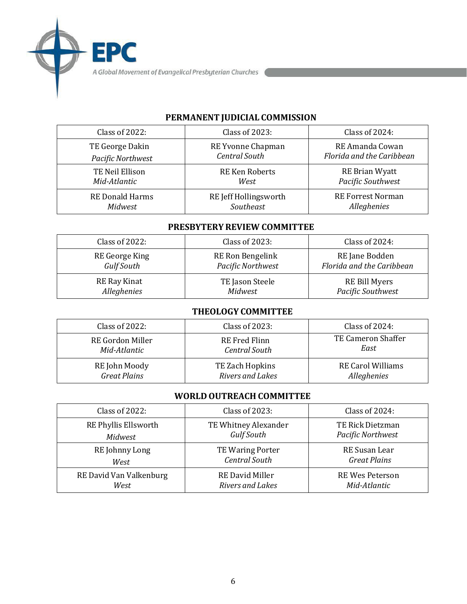A Global Movement of Evangelical Presbyterian Churches

**EPC** 

### **PERMANENT JUDICIAL COMMISSION**

| Class of $2022$ :      | Class of 2023:        | Class of 2024:            |
|------------------------|-----------------------|---------------------------|
| TE George Dakin        | RE Yvonne Chapman     | RE Amanda Cowan           |
| Pacific Northwest      | Central South         | Florida and the Caribbean |
| TE Neil Ellison        | <b>RE Ken Roberts</b> | <b>RE Brian Wyatt</b>     |
| Mid-Atlantic           | West                  | Pacific Southwest         |
| <b>RE Donald Harms</b> | RE Jeff Hollingsworth | <b>RE Forrest Norman</b>  |
| Midwest                | Southeast             | Alleghenies               |

#### **PRESBYTERY REVIEW COMMITTEE**

| Class of $2022$ : | Class of $2023$ :       | Class of $2024$ :         |
|-------------------|-------------------------|---------------------------|
| RE George King    | <b>RE Ron Bengelink</b> | RE Jane Bodden            |
| <b>Gulf South</b> | Pacific Northwest       | Florida and the Caribbean |
| RE Ray Kinat      | TE Jason Steele         | <b>RE Bill Myers</b>      |
| Alleghenies       | Midwest                 | Pacific Southwest         |

### **THEOLOGY COMMITTEE**

| Class of $2022$ :   | Class of $2023$ :       | Class of $2024$ :        |
|---------------------|-------------------------|--------------------------|
| RE Gordon Miller    | RE Fred Flinn           | TE Cameron Shaffer       |
| Mid-Atlantic        | <b>Central South</b>    | East                     |
| RE John Moody       | TE Zach Hopkins         | <b>RE Carol Williams</b> |
| <b>Great Plains</b> | <b>Rivers and Lakes</b> | Alleghenies              |

## **WORLD OUTREACH COMMITTEE**

| Class of $2022$ :       | Class of $2023$ :      | Class of $2024$ :      |
|-------------------------|------------------------|------------------------|
| RE Phyllis Ellsworth    | TE Whitney Alexander   | TE Rick Dietzman       |
| Midwest                 | <b>Gulf South</b>      | Pacific Northwest      |
| RE Johnny Long          | TE Waring Porter       | RE Susan Lear          |
| West                    | <b>Central South</b>   | <b>Great Plains</b>    |
| RE David Van Valkenburg | <b>RE David Miller</b> | <b>RE Wes Peterson</b> |
| West                    | Rivers and Lakes       | Mid-Atlantic           |